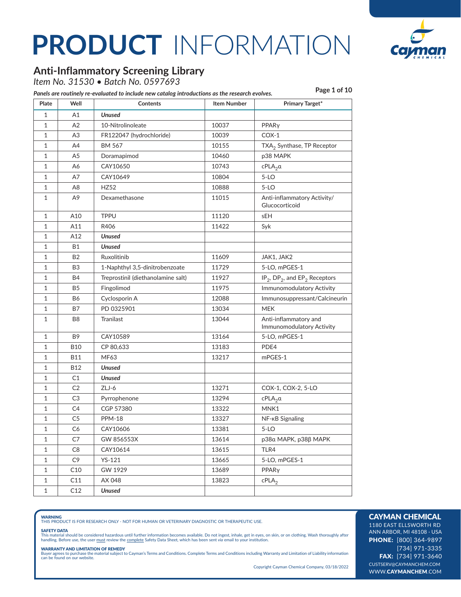

### **Anti-Inflammatory Screening Library**

*Item No. 31530 • Batch No. 0597693*

| Plate        | Well           | <b>Contents</b>                    | <b>Item Number</b> | <b>Primary Target*</b>                                   |
|--------------|----------------|------------------------------------|--------------------|----------------------------------------------------------|
| $\mathbf{1}$ | Α1             | <b>Unused</b>                      |                    |                                                          |
| $\mathbf{1}$ | A2             | 10-Nitrolinoleate                  | 10037              | PPARy                                                    |
| $\mathbf{1}$ | A <sub>3</sub> | FR122047 (hydrochloride)           | 10039              | $COX-1$                                                  |
| 1            | A4             | <b>BM 567</b>                      | 10155              | TXA <sub>2</sub> Synthase, TP Receptor                   |
| 1            | A5             | Doramapimod                        | 10460              | p38 MAPK                                                 |
| 1            | А6             | CAY10650                           | 10743              | $cPLA_2\alpha$                                           |
| 1            | А7             | CAY10649                           | 10804              | $5-LO$                                                   |
| 1            | A8             | <b>HZ52</b>                        | 10888              | $5-LO$                                                   |
| 1            | А9             | Dexamethasone                      | 11015              | Anti-inflammatory Activity/<br>Glucocorticoid            |
| 1            | A10            | <b>TPPU</b>                        | 11120              | sEH                                                      |
| $\mathbf{1}$ | A11            | R406                               | 11422              | Syk                                                      |
| 1            | A12            | Unused                             |                    |                                                          |
| 1            | Β1             | Unused                             |                    |                                                          |
| 1            | <b>B2</b>      | Ruxolitinib                        | 11609              | JAK1, JAK2                                               |
| 1            | B3             | 1-Naphthyl 3,5-dinitrobenzoate     | 11729              | 5-LO, mPGES-1                                            |
| 1            | <b>B4</b>      | Treprostinil (diethanolamine salt) | 11927              | $IP_2$ , DP <sub>2</sub> , and EP <sub>2</sub> Receptors |
| 1            | <b>B5</b>      | Fingolimod                         | 11975              | Immunomodulatory Activity                                |
| $\mathbf{1}$ | <b>B6</b>      | Cyclosporin A                      | 12088              | Immunosuppressant/Calcineurin                            |
| 1            | B7             | PD 0325901                         | 13034              | <b>MEK</b>                                               |
| 1            | B8             | Tranilast                          | 13044              | Anti-inflammatory and<br>Immunomodulatory Activity       |
| 1            | B9             | CAY10589                           | 13164              | 5-LO, mPGES-1                                            |
| 1            | <b>B10</b>     | CP 80,633                          | 13183              | PDE4                                                     |
| 1            | B11            | MF63                               | 13217              | mPGES-1                                                  |
| 1            | <b>B12</b>     | Unused                             |                    |                                                          |
| 1            | C1             | Unused                             |                    |                                                          |
| 1            | C <sub>2</sub> | $ZLJ-6$                            | 13271              | COX-1, COX-2, 5-LO                                       |
| 1            | C3             | Pyrrophenone                       | 13294              | $cPLA_2\alpha$                                           |
| 1            | C4             | CGP 57380                          | 13322              | MNK1                                                     |
| 1            | C5             | <b>PPM-18</b>                      | 13327              | NF-KB Signaling                                          |
| 1            | C6             | CAY10606                           | 13381              | $5-LO$                                                   |
| 1            | C7             | GW 856553X                         | 13614              | р38а МАРК, р38β МАРК                                     |
| $\mathbf{1}$ | C8             | CAY10614                           | 13615              | TLR4                                                     |
| 1            | C9             | $YS-121$                           | 13665              | 5-LO, mPGES-1                                            |
| $\mathbf 1$  | C10            | GW 1929                            | 13689              | PPARy                                                    |
| $\mathbf{1}$ | C11            | AX 048                             | 13823              | $cPLA_2$                                                 |
| $\mathbf{1}$ | C12            | <b>Unused</b>                      |                    |                                                          |
|              |                |                                    |                    |                                                          |

**WARNING**<br>THIS PRODUCT IS FOR RESEARCH ONLY - NOT FOR HUMAN OR VETERINARY DIAGNOSTIC OR THERAPEUTIC USE.

#### SAFETY DATA

This material should be considered hazardous until further information becomes available. Do not ingest, inhale, get in eyes, on skin, or on clothing. Wash thoroughly after<br>handling. Before use, the user must review the co

**WARRANTY AND LIMITATION OF REMEDY**<br>Buyer agrees to purchase the material subject to Cayman's Terms and Conditions. Complete Terms and Conditions including Warranty and Limitation of Liability information<br>can be found on o

Copyright Cayman Chemical Company, 03/18/2022

#### CAYMAN CHEMICAL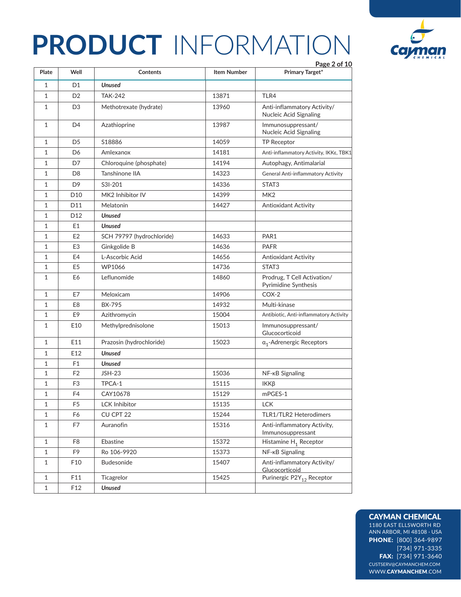



#### CAYMAN CHEMICAL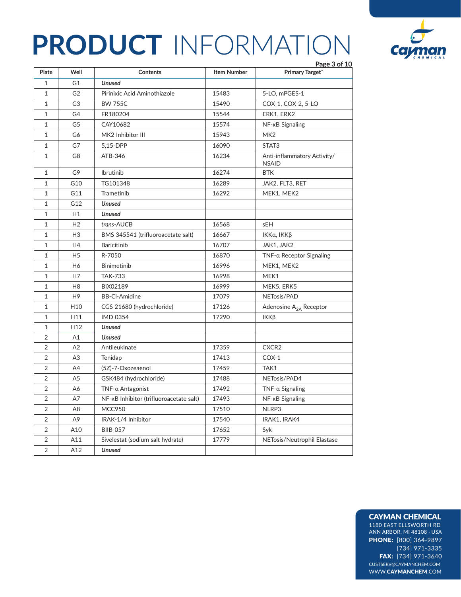

| Plate          | Well            | Contents                                | <b>Item Number</b> | Page 3 of 10<br><b>Primary Target*</b>      |
|----------------|-----------------|-----------------------------------------|--------------------|---------------------------------------------|
| 1              | G1              | <b>Unused</b>                           |                    |                                             |
| $\mathbf{1}$   | G <sub>2</sub>  | Pirinixic Acid Aminothiazole            | 15483              | 5-LO, mPGES-1                               |
| 1              | G3              | <b>BW 755C</b>                          | 15490              | COX-1, COX-2, 5-LO                          |
| 1              | G4              | FR180204                                | 15544              | ERK1, ERK2                                  |
| 1              | G5              | CAY10682                                | 15574              | NF-KB Signaling                             |
| $\mathbf{1}$   | G6              | MK2 Inhibitor III                       | 15943              | MK <sub>2</sub>                             |
| 1              | G7              | 5,15-DPP                                | 16090              | STAT <sub>3</sub>                           |
| $\mathbf{1}$   | G8              | ATB-346                                 | 16234              | Anti-inflammatory Activity/<br><b>NSAID</b> |
| 1              | G9              | Ibrutinib                               | 16274              | <b>BTK</b>                                  |
| 1              | G10             | TG101348                                | 16289              | JAK2, FLT3, RET                             |
| 1              | G11             | Trametinib                              | 16292              | MEK1, MEK2                                  |
| $\mathbf{1}$   | G12             | <b>Unused</b>                           |                    |                                             |
| 1              | H1              | <b>Unused</b>                           |                    |                                             |
| 1              | H <sub>2</sub>  | trans-AUCB                              | 16568              | sEH                                         |
| 1              | H <sub>3</sub>  | BMS 345541 (trifluoroacetate salt)      | 16667              | ΙΚΚα, ΙΚΚβ                                  |
| $\mathbf{1}$   | H <sub>4</sub>  | <b>Baricitinib</b>                      | 16707              | JAK1, JAK2                                  |
| 1              | H <sub>5</sub>  | R-7050                                  | 16870              | TNF-a Receptor Signaling                    |
| 1              | H6              | <b>Binimetinib</b>                      | 16996              | MEK1, MEK2                                  |
| 1              | H7              | <b>TAK-733</b>                          | 16998              | MEK1                                        |
| 1              | H <sub>8</sub>  | BIX02189                                | 16999              | MEK5, ERK5                                  |
| 1              | H <sub>9</sub>  | <b>BB-CI-Amidine</b>                    | 17079              | NETosis/PAD                                 |
| 1              | H <sub>10</sub> | CGS 21680 (hydrochloride)               | 17126              | Adenosine A <sub>2A</sub> Receptor          |
| 1              | H11             | <b>IMD 0354</b>                         | 17290              | IKKβ                                        |
| $\mathbf 1$    | H <sub>12</sub> | <b>Unused</b>                           |                    |                                             |
| $\overline{2}$ | A1              | <b>Unused</b>                           |                    |                                             |
| 2              | A <sub>2</sub>  | Antileukinate                           | 17359              | CXCR2                                       |
| 2              | A3              | Tenidap                                 | 17413              | $COX-1$                                     |
| 2              | A4              | (5Z)-7-Oxozeaenol                       | 17459              | TAK1                                        |
| $\overline{2}$ | A <sub>5</sub>  | GSK484 (hydrochloride)                  | 17488              | NETosis/PAD4                                |
| $\overline{2}$ | Α6              | $TNF$ - $\alpha$ Antagonist             | 17492              | $TNF-a$ Signaling                           |
| $\overline{2}$ | A7              | NF-KB Inhibitor (trifluoroacetate salt) | 17493              | NF- <sub>KB</sub> Signaling                 |
| 2              | A8              | <b>MCC950</b>                           | 17510              | NLRP3                                       |
| 2              | A9              | IRAK-1/4 Inhibitor                      | 17540              | IRAK1, IRAK4                                |
| $\overline{2}$ | A10             | <b>BIIB-057</b>                         | 17652              | Syk                                         |
| 2              | A11             | Sivelestat (sodium salt hydrate)        | 17779              | NETosis/Neutrophil Elastase                 |
| $\overline{2}$ | A12             | <b>Unused</b>                           |                    |                                             |

#### CAYMAN CHEMICAL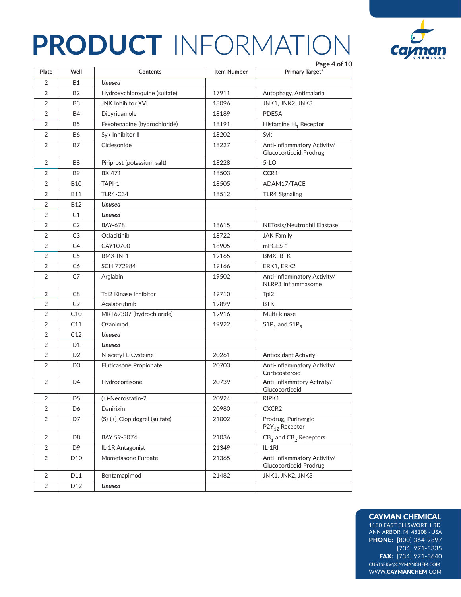

#### CAYMAN CHEMICAL

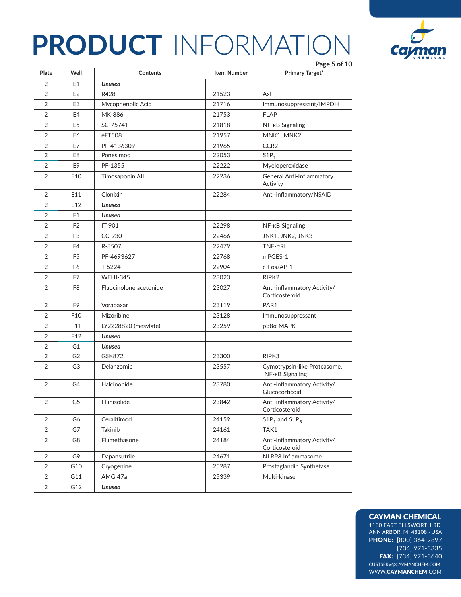

#### CAYMAN CHEMICAL

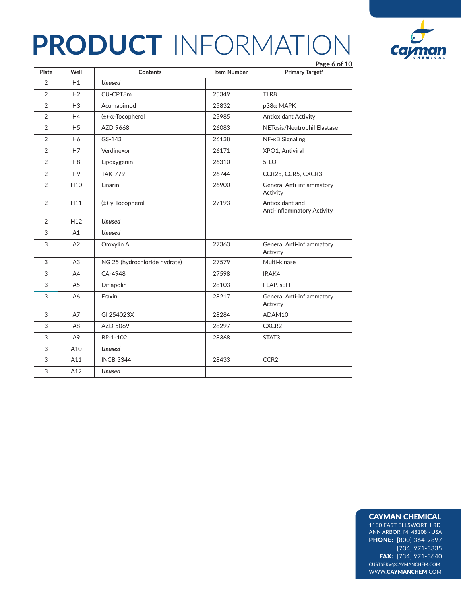

|                | Well            |                               |                    | Page 6 of 10                                  |
|----------------|-----------------|-------------------------------|--------------------|-----------------------------------------------|
| Plate          |                 | <b>Contents</b>               | <b>Item Number</b> | <b>Primary Target*</b>                        |
| $\overline{2}$ | H1              | <b>Unused</b>                 |                    |                                               |
| $\overline{2}$ | H2              | CU-CPT8m                      | 25349              | TLR8                                          |
| 2              | H <sub>3</sub>  | Acumapimod                    | 25832              | p38a MAPK                                     |
| 2              | H4              | $(\pm)$ -a-Tocopherol         | 25985              | <b>Antioxidant Activity</b>                   |
| 2              | H <sub>5</sub>  | AZD 9668                      | 26083              | NETosis/Neutrophil Elastase                   |
| 2              | H6              | GS-143                        | 26138              | NF-KB Signaling                               |
| 2              | H7              | Verdinexor                    | 26171              | XPO1, Antiviral                               |
| 2              | H <sub>8</sub>  | Lipoxygenin                   | 26310              | $5-LO$                                        |
| 2              | H <sub>9</sub>  | <b>TAK-779</b>                | 26744              | CCR2b, CCR5, CXCR3                            |
| 2              | H <sub>10</sub> | Linarin                       | 26900              | <b>General Anti-inflammatory</b><br>Activity  |
| 2              | H11             | (±)-γ-Tocopherol              | 27193              | Antioxidant and<br>Anti-inflammatory Activity |
| 2              | H <sub>12</sub> | <b>Unused</b>                 |                    |                                               |
| 3              | A1              | <b>Unused</b>                 |                    |                                               |
| 3              | A2              | Oroxylin A                    | 27363              | General Anti-inflammatory<br>Activity         |
| 3              | A3              | NG 25 (hydrochloride hydrate) | 27579              | Multi-kinase                                  |
| 3              | A4              | CA-4948                       | 27598              | IRAK4                                         |
| 3              | A <sub>5</sub>  | <b>Diflapolin</b>             | 28103              | FLAP, sEH                                     |
| 3              | A6              | Fraxin                        | 28217              | General Anti-inflammatory<br>Activity         |
| 3              | A7              | GI 254023X                    | 28284              | ADAM10                                        |
| 3              | A <sub>8</sub>  | AZD 5069                      | 28297              | CXCR <sub>2</sub>                             |
| 3              | A <sub>9</sub>  | BP-1-102                      | 28368              | STAT3                                         |
| 3              | A10             | <b>Unused</b>                 |                    |                                               |
| 3              | A11             | <b>INCB 3344</b>              | 28433              | CCR <sub>2</sub>                              |
| 3              | A12             | <b>Unused</b>                 |                    |                                               |

### CAYMAN CHEMICAL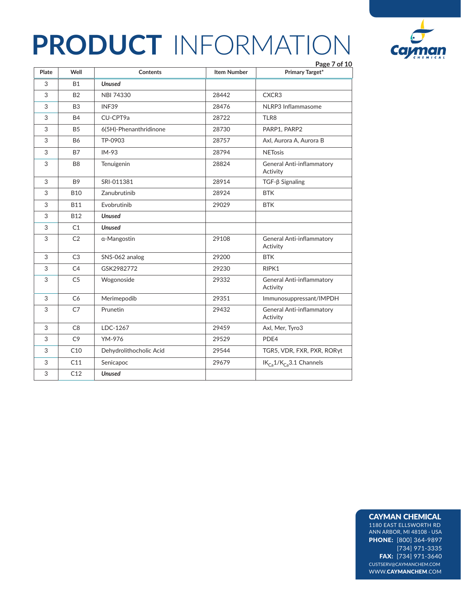

| Plate | Well           | <b>Contents</b>         | <b>Item Number</b> | Page 7 of 10<br><b>Primary Target*</b>       |
|-------|----------------|-------------------------|--------------------|----------------------------------------------|
| 3     | <b>B1</b>      | <b>Unused</b>           |                    |                                              |
| 3     | <b>B2</b>      | NBI 74330               | 28442              | CXCR3                                        |
| 3     | B <sub>3</sub> | INF39                   | 28476              | NLRP3 Inflammasome                           |
| 3     | <b>B4</b>      | CU-CPT9a                | 28722              | TLR8                                         |
| 3     | <b>B5</b>      | 6(5H)-Phenanthridinone  | 28730              | PARP1, PARP2                                 |
| 3     | <b>B6</b>      | TP-0903                 | 28757              | Axl, Aurora A, Aurora B                      |
| 3     | <b>B7</b>      | $IM-93$                 | 28794              | <b>NETosis</b>                               |
| 3     | B <sub>8</sub> | Tenuigenin              | 28824              | General Anti-inflammatory<br>Activity        |
| 3     | B <sub>9</sub> | SRI-011381              | 28914              | $TGF-\beta Signaling$                        |
| 3     | <b>B10</b>     | Zanubrutinib            | 28924              | <b>BTK</b>                                   |
| 3     | <b>B11</b>     | Evobrutinib             | 29029              | <b>BTK</b>                                   |
| 3     | B12            | <b>Unused</b>           |                    |                                              |
| 3     | C1             | <b>Unused</b>           |                    |                                              |
| 3     | C <sub>2</sub> | α-Mangostin             | 29108              | General Anti-inflammatory<br>Activity        |
| 3     | C <sub>3</sub> | SNS-062 analog          | 29200              | <b>BTK</b>                                   |
| 3     | C <sub>4</sub> | GSK2982772              | 29230              | RIPK1                                        |
| 3     | C <sub>5</sub> | Wogonoside              | 29332              | General Anti-inflammatory<br>Activity        |
| 3     | C <sub>6</sub> | Merimepodib             | 29351              | Immunosuppressant/IMPDH                      |
| 3     | C7             | Prunetin                | 29432              | <b>General Anti-inflammatory</b><br>Activity |
| 3     | C <sub>8</sub> | LDC-1267                | 29459              | Axl, Mer, Tyro3                              |
| 3     | C <sub>9</sub> | YM-976                  | 29529              | PDE4                                         |
| 3     | C10            | Dehydrolithocholic Acid | 29544              | TGR5, VDR, FXR, PXR, RORyt                   |
| 3     | C11            | Senicapoc               | 29679              | $IK_{Ca}1/K_{Ca}3.1$ Channels                |
| 3     | C12            | <b>Unused</b>           |                    |                                              |
|       |                |                         |                    |                                              |

### CAYMAN CHEMICAL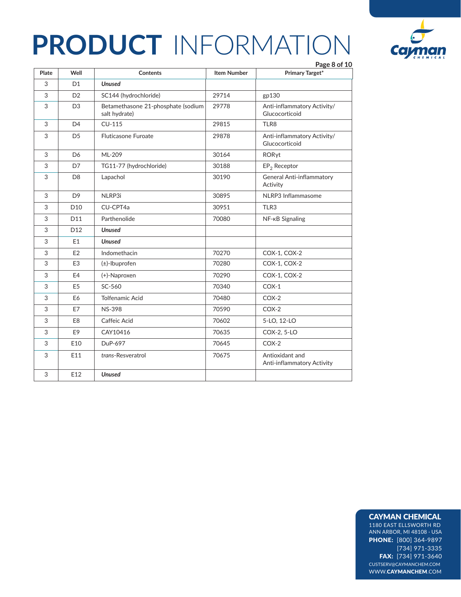

|       |                 |                                                     |                    | Page 8 of 10                                  |
|-------|-----------------|-----------------------------------------------------|--------------------|-----------------------------------------------|
| Plate | Well            | Contents                                            | <b>Item Number</b> | <b>Primary Target*</b>                        |
| 3     | D <sub>1</sub>  | <b>Unused</b>                                       |                    |                                               |
| 3     | D <sub>2</sub>  | SC144 (hydrochloride)                               | 29714              | gp130                                         |
| 3     | D <sub>3</sub>  | Betamethasone 21-phosphate (sodium<br>salt hydrate) | 29778              | Anti-inflammatory Activity/<br>Glucocorticoid |
| 3     | D <sub>4</sub>  | $CU-115$                                            | 29815              | TLR8                                          |
| 3     | D <sub>5</sub>  | <b>Fluticasone Furoate</b>                          | 29878              | Anti-inflammatory Activity/<br>Glucocorticoid |
| 3     | D <sub>6</sub>  | ML-209                                              | 30164              | RORyt                                         |
| 3     | D7              | TG11-77 (hydrochloride)                             | 30188              | $EP2$ Receptor                                |
| 3     | D <sub>8</sub>  | Lapachol                                            | 30190              | General Anti-inflammatory<br>Activity         |
| 3     | D <sub>9</sub>  | NLRP3i                                              | 30895              | NLRP3 Inflammasome                            |
| 3     | D <sub>10</sub> | CU-CPT4a                                            | 30951              | TLR3                                          |
| 3     | D11             | Parthenolide                                        | 70080              | NF-KB Signaling                               |
| 3     | D <sub>12</sub> | <b>Unused</b>                                       |                    |                                               |
| 3     | E1              | <b>Unused</b>                                       |                    |                                               |
| 3     | E <sub>2</sub>  | Indomethacin                                        | 70270              | COX-1, COX-2                                  |
| 3     | E <sub>3</sub>  | $(\pm)$ -Ibuprofen                                  | 70280              | COX-1, COX-2                                  |
| 3     | E4              | $(+)$ -Naproxen                                     | 70290              | COX-1, COX-2                                  |
| 3     | E <sub>5</sub>  | SC-560                                              | 70340              | $COX-1$                                       |
| 3     | E <sub>6</sub>  | <b>Tolfenamic Acid</b>                              | 70480              | $COX-2$                                       |
| 3     | E7              | <b>NS-398</b>                                       | 70590              | $COX-2$                                       |
| 3     | E <sub>8</sub>  | Caffeic Acid                                        | 70602              | 5-LO, 12-LO                                   |
| 3     | E <sub>9</sub>  | CAY10416                                            | 70635              | COX-2, 5-LO                                   |
| 3     | E10             | DuP-697                                             | 70645              | $COX-2$                                       |
| 3     | E11             | trans-Resveratrol                                   | 70675              | Antioxidant and<br>Anti-inflammatory Activity |
| 3     | E12             | <b>Unused</b>                                       |                    |                                               |

### CAYMAN CHEMICAL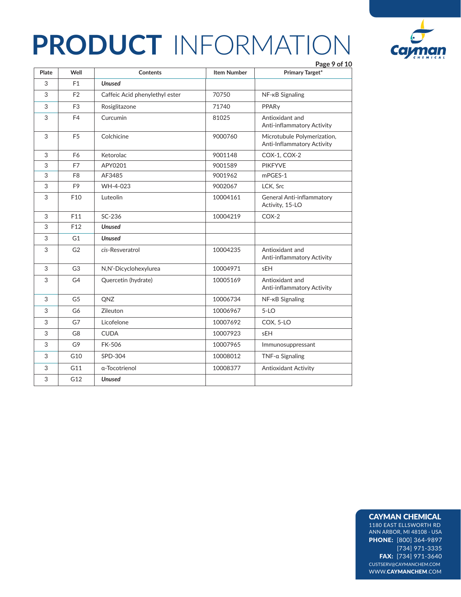

|       |                 |                                |                    | Page 9 of 10                                              |
|-------|-----------------|--------------------------------|--------------------|-----------------------------------------------------------|
| Plate | Well            | Contents                       | <b>Item Number</b> | <b>Primary Target*</b>                                    |
| 3     | F <sub>1</sub>  | <b>Unused</b>                  |                    |                                                           |
| 3     | F <sub>2</sub>  | Caffeic Acid phenylethyl ester | 70750              | NF- <sub>KB</sub> Signaling                               |
| 3     | F <sub>3</sub>  | Rosiglitazone                  | 71740              | PPARy                                                     |
| 3     | F4              | Curcumin                       | 81025              | Antioxidant and<br>Anti-inflammatory Activity             |
| 3     | F <sub>5</sub>  | Colchicine                     | 9000760            | Microtubule Polymerization,<br>Anti-Inflammatory Activity |
| 3     | F6              | Ketorolac                      | 9001148            | COX-1, COX-2                                              |
| 3     | F7              | APY0201                        | 9001589            | <b>PIKFYVE</b>                                            |
| 3     | F <sub>8</sub>  | AF3485                         | 9001962            | mPGES-1                                                   |
| 3     | F <sub>9</sub>  | WH-4-023                       | 9002067            | LCK, Src                                                  |
| 3     | F10             | Luteolin                       | 10004161           | <b>General Anti-inflammatory</b><br>Activity, 15-LO       |
| 3     | F11             | SC-236                         | 10004219           | $COX-2$                                                   |
| 3     | F <sub>12</sub> | <b>Unused</b>                  |                    |                                                           |
| 3     | G1              | <b>Unused</b>                  |                    |                                                           |
| 3     | G <sub>2</sub>  | cis-Resveratrol                | 10004235           | Antioxidant and<br>Anti-inflammatory Activity             |
| 3     | G <sub>3</sub>  | N,N'-Dicyclohexylurea          | 10004971           | sEH                                                       |
| 3     | G4              | Quercetin (hydrate)            | 10005169           | Antioxidant and<br>Anti-inflammatory Activity             |
| 3     | G <sub>5</sub>  | QNZ                            | 10006734           | NF-KB Signaling                                           |
| 3     | G6              | Zileuton                       | 10006967           | $5-LO$                                                    |
| 3     | G7              | Licofelone                     | 10007692           | COX, 5-LO                                                 |
| 3     | G <sub>8</sub>  | <b>CUDA</b>                    | 10007923           | sEH                                                       |
| 3     | G9              | <b>FK-506</b>                  | 10007965           | Immunosuppressant                                         |
| 3     | G10             | SPD-304                        | 10008012           | $TNF$ - $\alpha$ Signaling                                |
| 3     | G11             | α-Tocotrienol                  | 10008377           | <b>Antioxidant Activity</b>                               |
| 3     | G12             | <b>Unused</b>                  |                    |                                                           |

#### CAYMAN CHEMICAL